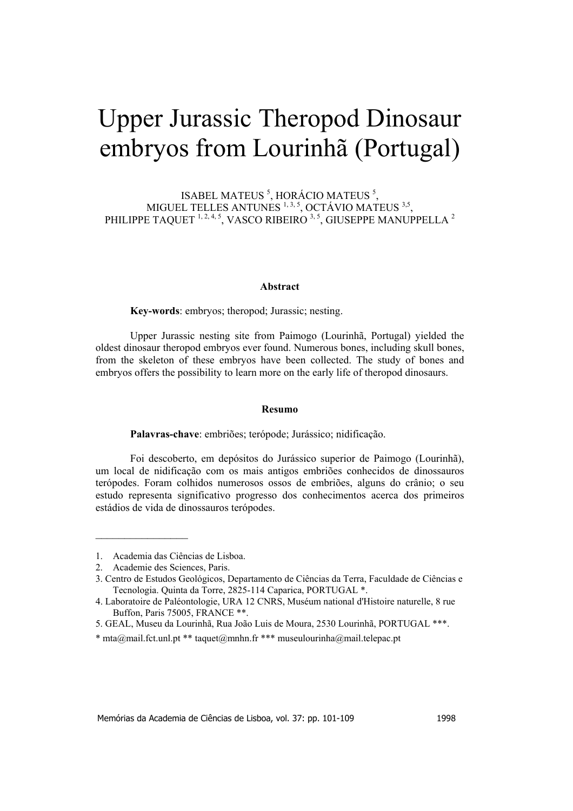# Upper Jurassic Theropod Dinosaur embryos from Lourinhã (Portugal)

ISABEL MATEUS  $5$ , HORÁCIO MATEUS  $5$ , MIGUEL TELLES ANTUNES  $1, 3, 5$ , OCTÁVIO MATEUS  $3,5$ , PHILIPPE TAQUET  $^{1,2,4,5},$  VASCO RIBEIRO  $^{3,5},$  GIUSEPPE MANUPPELLA  $^2$ 

#### **Abstract**

**Key-words**: embryos; theropod; Jurassic; nesting.

Upper Jurassic nesting site from Paimogo (Lourinhã, Portugal) yielded the oldest dinosaur theropod embryos ever found. Numerous bones, including skull bones, from the skeleton of these embryos have been collected. The study of bones and embryos offers the possibility to learn more on the early life of theropod dinosaurs.

#### **Resumo**

**Palavras-chave**: embriões; terópode; Jurássico; nidificação.

Foi descoberto, em depósitos do Jurássico superior de Paimogo (Lourinhã), um local de nidificação com os mais antigos embriões conhecidos de dinossauros terópodes. Foram colhidos numerosos ossos de embriões, alguns do crânio; o seu estudo representa significativo progresso dos conhecimentos acerca dos primeiros estádios de vida de dinossauros terópodes.

 $\frac{1}{2}$  ,  $\frac{1}{2}$  ,  $\frac{1}{2}$  ,  $\frac{1}{2}$  ,  $\frac{1}{2}$  ,  $\frac{1}{2}$  ,  $\frac{1}{2}$  ,  $\frac{1}{2}$  ,  $\frac{1}{2}$ 

<sup>1.</sup> Academia das Ciências de Lisboa.

<sup>2.</sup> Academie des Sciences, Paris.

<sup>3.</sup> Centro de Estudos Geológicos, Departamento de Ciências da Terra, Faculdade de Ciências e Tecnologia. Quinta da Torre, 2825-114 Caparica, PORTUGAL \*.

<sup>4.</sup> Laboratoire de Paléontologie, URA 12 CNRS, Muséum national d'Histoire naturelle, 8 rue Buffon, Paris 75005, FRANCE \*\*.

<sup>5.</sup> GEAL, Museu da Lourinhã, Rua João Luis de Moura, 2530 Lourinhã, PORTUGAL \*\*\*.

<sup>\*</sup> mta@mail.fct.unl.pt \*\* taquet@mnhn.fr \*\*\* museulourinha@mail.telepac.pt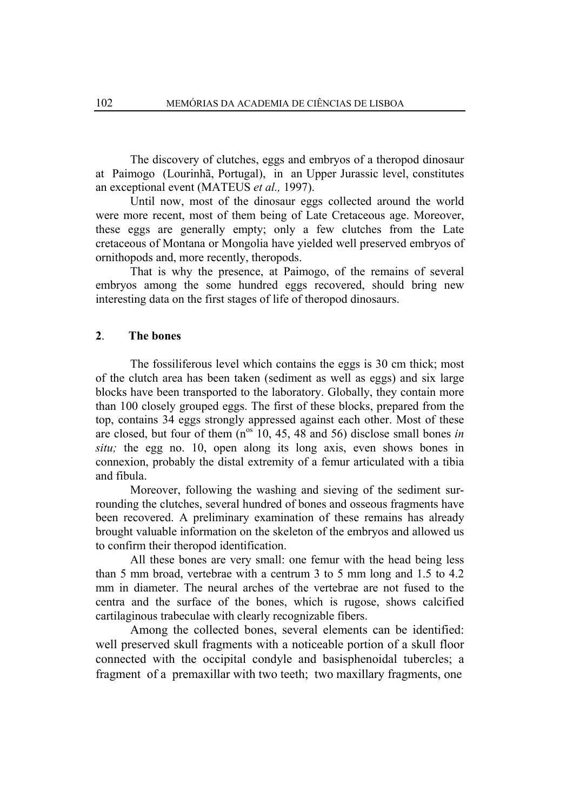The discovery of clutches, eggs and embryos of a theropod dinosaur at Paimogo (Lourinhã, Portugal), in an Upper Jurassic level, constitutes an exceptional event (MATEUS *et al.,* 1997).

Until now, most of the dinosaur eggs collected around the world were more recent, most of them being of Late Cretaceous age. Moreover, these eggs are generally empty; only a few clutches from the Late cretaceous of Montana or Mongolia have yielded well preserved embryos of ornithopods and, more recently, theropods.

That is why the presence, at Paimogo, of the remains of several embryos among the some hundred eggs recovered, should bring new interesting data on the first stages of life of theropod dinosaurs.

## **2**. **The bones**

The fossiliferous level which contains the eggs is 30 cm thick; most of the clutch area has been taken (sediment as well as eggs) and six large blocks have been transported to the laboratory. Globally, they contain more than 100 closely grouped eggs. The first of these blocks, prepared from the top, contains 34 eggs strongly appressed against each other. Most of these are closed, but four of them  $(n^{os} 10, 45, 48,$  and 56) disclose small bones *in situ;* the egg no. 10, open along its long axis, even shows bones in connexion, probably the distal extremity of a femur articulated with a tibia and fibula.

Moreover, following the washing and sieving of the sediment surrounding the clutches, several hundred of bones and osseous fragments have been recovered. A preliminary examination of these remains has already brought valuable information on the skeleton of the embryos and allowed us to confirm their theropod identification.

All these bones are very small: one femur with the head being less than 5 mm broad, vertebrae with a centrum 3 to 5 mm long and 1.5 to 4.2 mm in diameter. The neural arches of the vertebrae are not fused to the centra and the surface of the bones, which is rugose, shows calcified cartilaginous trabeculae with clearly recognizable fibers.

Among the collected bones, several elements can be identified: well preserved skull fragments with a noticeable portion of a skull floor connected with the occipital condyle and basisphenoidal tubercles; a fragment of a premaxillar with two teeth; two maxillary fragments, one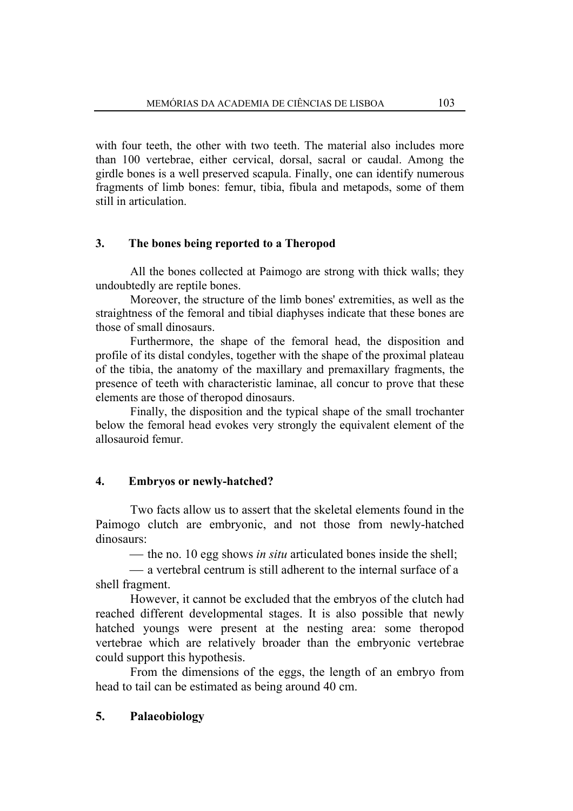with four teeth, the other with two teeth. The material also includes more than 100 vertebrae, either cervical, dorsal, sacral or caudal. Among the girdle bones is a well preserved scapula. Finally, one can identify numerous fragments of limb bones: femur, tibia, fibula and metapods, some of them still in articulation.

# **3. The bones being reported to a Theropod**

All the bones collected at Paimogo are strong with thick walls; they undoubtedly are reptile bones.

Moreover, the structure of the limb bones' extremities, as well as the straightness of the femoral and tibial diaphyses indicate that these bones are those of small dinosaurs.

Furthermore, the shape of the femoral head, the disposition and profile of its distal condyles, together with the shape of the proximal plateau of the tibia, the anatomy of the maxillary and premaxillary fragments, the presence of teeth with characteristic laminae, all concur to prove that these elements are those of theropod dinosaurs.

Finally, the disposition and the typical shape of the small trochanter below the femoral head evokes very strongly the equivalent element of the allosauroid femur.

# **4. Embryos or newly-hatched?**

Two facts allow us to assert that the skeletal elements found in the Paimogo clutch are embryonic, and not those from newly-hatched dinosaurs:

 $\frac{1}{\sqrt{1-\frac{v^2}{c^2}}}$  the no. 10 egg shows *in situ* articulated bones inside the shell;

 a vertebral centrum is still adherent to the internal surface of a shell fragment.

However, it cannot be excluded that the embryos of the clutch had reached different developmental stages. It is also possible that newly hatched youngs were present at the nesting area: some theropod vertebrae which are relatively broader than the embryonic vertebrae could support this hypothesis.

From the dimensions of the eggs, the length of an embryo from head to tail can be estimated as being around 40 cm.

# **5. Palaeobiology**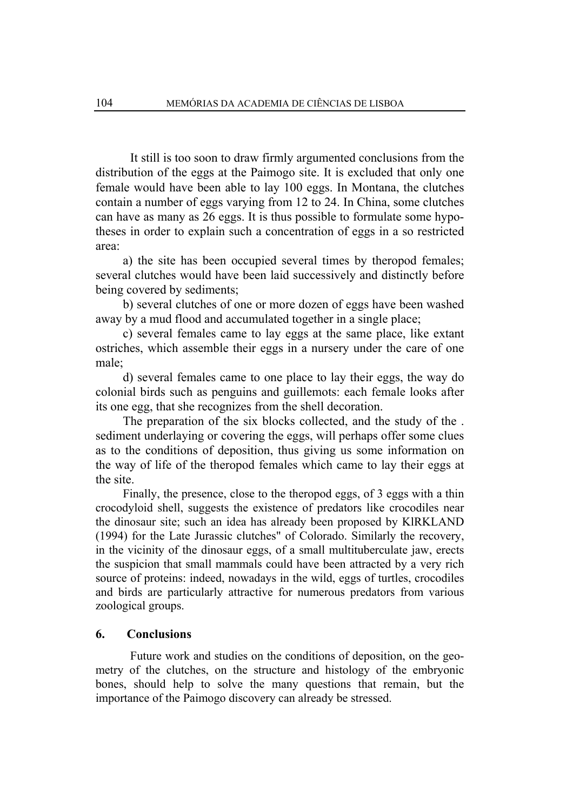It still is too soon to draw firmly argumented conclusions from the distribution of the eggs at the Paimogo site. It is excluded that only one female would have been able to lay 100 eggs. In Montana, the clutches contain a number of eggs varying from 12 to 24. In China, some clutches can have as many as 26 eggs. It is thus possible to formulate some hypotheses in order to explain such a concentration of eggs in a so restricted area:

a) the site has been occupied several times by theropod females; several clutches would have been laid successively and distinctly before being covered by sediments;

b) several clutches of one or more dozen of eggs have been washed away by a mud flood and accumulated together in a single place;

c) several females came to lay eggs at the same place, like extant ostriches, which assemble their eggs in a nursery under the care of one male;

d) several females came to one place to lay their eggs, the way do colonial birds such as penguins and guillemots: each female looks after its one egg, that she recognizes from the shell decoration.

The preparation of the six blocks collected, and the study of the . sediment underlaying or covering the eggs, will perhaps offer some clues as to the conditions of deposition, thus giving us some information on the way of life of the theropod females which came to lay their eggs at the site.

Finally, the presence, close to the theropod eggs, of 3 eggs with a thin crocodyloid shell, suggests the existence of predators like crocodiles near the dinosaur site; such an idea has already been proposed by KlRKLAND (1994) for the Late Jurassic clutches" of Colorado. Similarly the recovery, in the vicinity of the dinosaur eggs, of a small multituberculate jaw, erects the suspicion that small mammals could have been attracted by a very rich source of proteins: indeed, nowadays in the wild, eggs of turtles, crocodiles and birds are particularly attractive for numerous predators from various zoological groups.

# **6. Conclusions**

Future work and studies on the conditions of deposition, on the geometry of the clutches, on the structure and histology of the embryonic bones, should help to solve the many questions that remain, but the importance of the Paimogo discovery can already be stressed.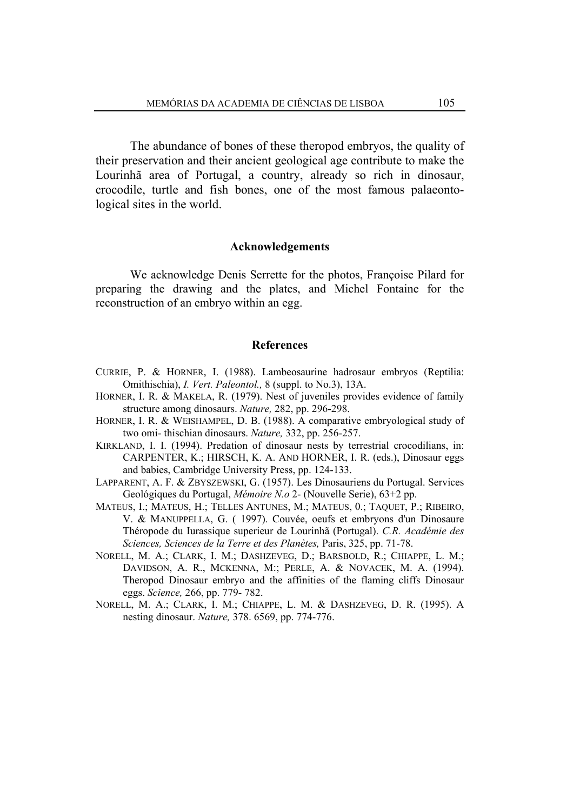The abundance of bones of these theropod embryos, the quality of their preservation and their ancient geological age contribute to make the Lourinhã area of Portugal, a country, already so rich in dinosaur, crocodile, turtle and fish bones, one of the most famous palaeontological sites in the world.

### **Acknowledgements**

We acknowledge Denis Serrette for the photos, Françoise Pilard for preparing the drawing and the plates, and Michel Fontaine for the reconstruction of an embryo within an egg.

#### **References**

- CURRIE, P. & HORNER, I. (1988). Lambeosaurine hadrosaur embryos (Reptilia: Omithischia), *I. Vert. Paleontol.,* 8 (suppl. to No.3), 13A.
- HORNER, I. R. & MAKELA, R. (1979). Nest of juveniles provides evidence of family structure among dinosaurs. *Nature,* 282, pp. 296-298.
- HORNER, I. R. & WEISHAMPEL, D. B. (1988). A comparative embryological study of two omi- thischian dinosaurs. *Nature,* 332, pp. 256-257.
- KIRKLAND, I. I. (1994). Predation of dinosaur nests by terrestrial crocodilians, in: CARPENTER, K.; HIRSCH, K. A. AND HORNER, I. R. (eds.), Dinosaur eggs and babies, Cambridge University Press, pp. 124-133.
- LAPPARENT, A. F. & ZBYSZEWSKI, G. (1957). Les Dinosauriens du Portugal. Services Geológiques du Portugal, *Mémoire N.o* 2- (Nouvelle Serie), 63+2 pp.
- MATEUS, I.; MATEUS, H.; TELLES ANTUNES, M.; MATEUS, 0.; TAQUET, P.; RIBEIRO, V. & MANUPPELLA, G. ( 1997). Couvée, oeufs et embryons d'un Dinosaure Théropode du Iurassique superieur de Lourinhã (Portugal). *C.R. Académie des Sciences, Sciences de la Terre et des Planètes,* Paris, 325, pp. 71-78.
- NORELL, M. A.; CLARK, I. M.; DASHZEVEG, D.; BARSBOLD, R.; CHIAPPE, L. M.; DAVIDSON, A. R., MCKENNA, M:; PERLE, A. & NOVACEK, M. A. (1994). Theropod Dinosaur embryo and the affinities of the flaming cliffs Dinosaur eggs. *Science,* 266, pp. 779- 782.
- NORELL, M. A.; CLARK, I. M.; CHIAPPE, L. M. & DASHZEVEG, D. R. (1995). A nesting dinosaur. *Nature,* 378. 6569, pp. 774-776.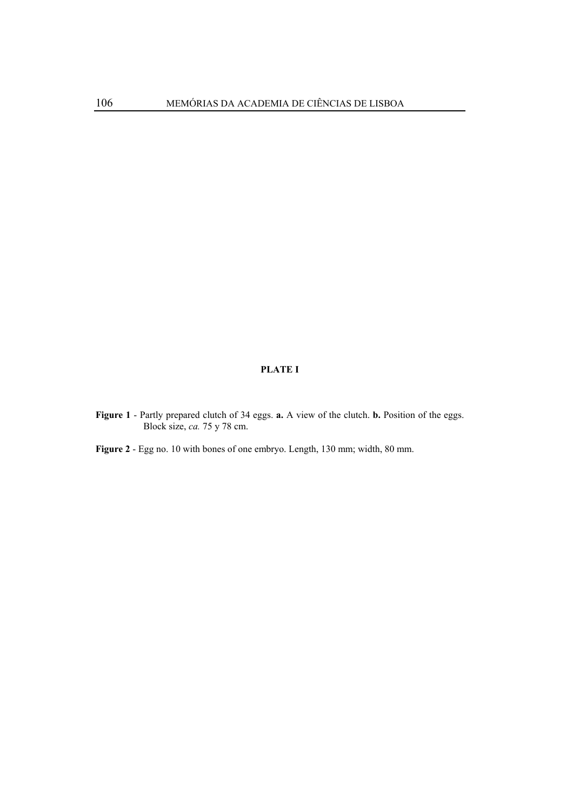## **PLATE I**

**Figure 1** - Partly prepared clutch of 34 eggs. **a.** A view of the clutch. **b.** Position of the eggs. Block size, *ca.* 75 y 78 cm.

**Figure 2** - Egg no. 10 with bones of one embryo. Length, 130 mm; width, 80 mm.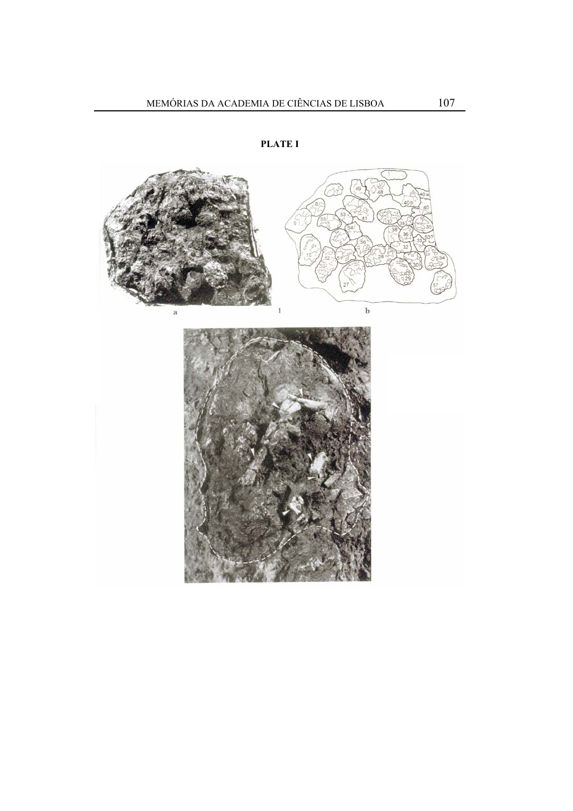

**PLATE I**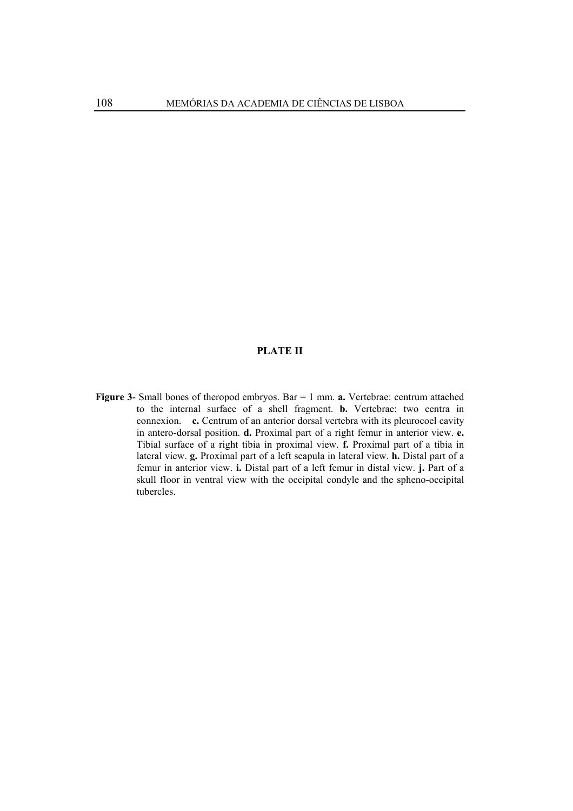#### **PLATE II**

**Figure 3**- Small bones of theropod embryos. Bar = 1 mm. **a.** Vertebrae: centrum attached to the internal surface of a shell fragment. **b.** Vertebrae: two centra in connexion. **c.** Centrum of an anterior dorsal vertebra with its pleurocoel cavity in antero-dorsal position. **d.** Proximal part of a right femur in anterior view. **e.** Tibial surface of a right tibia in proximal view. **f.** Proximal part of a tibia in lateral view. **g.** Proximal part of a left scapula in lateral view. **h.** Distal part of a femur in anterior view. **i.** Distal part of a left femur in distal view. **j.** Part of a skull floor in ventral view with the occipital condyle and the spheno-occipital tubercles.